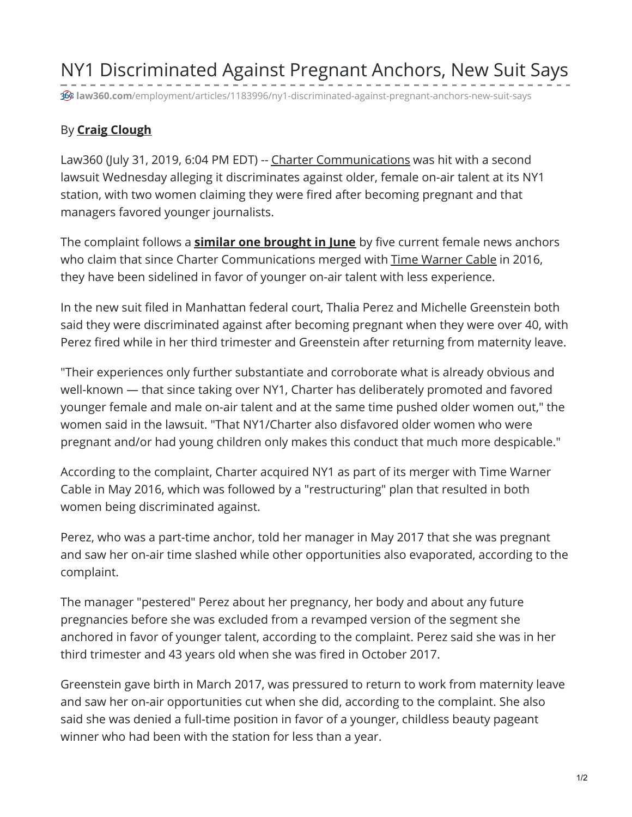NY1 Discriminated Against Pregnant Anchors, New Suit Says

**law360.com**[/employment/articles/1183996/ny1-discriminated-against-pregnant-anchors-new-suit-says](https://www.law360.com/employment/articles/1183996/ny1-discriminated-against-pregnant-anchors-new-suit-says)

## <span id="page-0-0"></span>By **Craig [Clough](#page-0-0)**

Law360 (July 31, 2019, 6:04 PM EDT) -- Charter [Communications](https://www.law360.com/companies/charter-communications-inc) was hit with a second lawsuit Wednesday alleging it discriminates against older, female on-air talent at its NY1 station, with two women claiming they were fired after becoming pregnant and that managers favored younger journalists.

The complaint follows a **similar one [brought](https://www.law360.com/articles/1170720/longtime-anchorwomen-say-ny1-cut-their-airtime) in June** by five current female news anchors who claim that since Charter Communications merged with Time [Warner](https://www.law360.com/companies/spectrum-management-holding-co) Cable in 2016, they have been sidelined in favor of younger on-air talent with less experience.

In the new suit filed in Manhattan federal court, Thalia Perez and Michelle Greenstein both said they were discriminated against after becoming pregnant when they were over 40, with Perez fired while in her third trimester and Greenstein after returning from maternity leave.

"Their experiences only further substantiate and corroborate what is already obvious and well-known — that since taking over NY1, Charter has deliberately promoted and favored younger female and male on-air talent and at the same time pushed older women out," the women said in the lawsuit. "That NY1/Charter also disfavored older women who were pregnant and/or had young children only makes this conduct that much more despicable."

According to the complaint, Charter acquired NY1 as part of its merger with Time Warner Cable in May 2016, which was followed by a "restructuring" plan that resulted in both women being discriminated against.

Perez, who was a part-time anchor, told her manager in May 2017 that she was pregnant and saw her on-air time slashed while other opportunities also evaporated, according to the complaint.

The manager "pestered" Perez about her pregnancy, her body and about any future pregnancies before she was excluded from a revamped version of the segment she anchored in favor of younger talent, according to the complaint. Perez said she was in her third trimester and 43 years old when she was fired in October 2017.

Greenstein gave birth in March 2017, was pressured to return to work from maternity leave and saw her on-air opportunities cut when she did, according to the complaint. She also said she was denied a full-time position in favor of a younger, childless beauty pageant winner who had been with the station for less than a year.